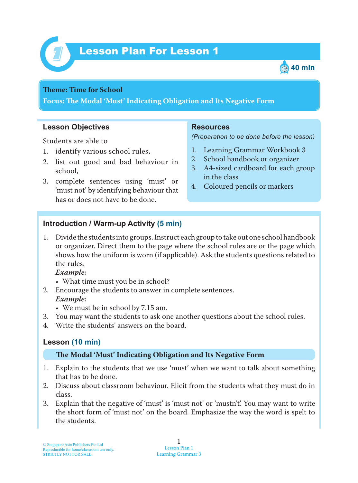



#### **Theme: Time for School**

**Focus: Te Modal 'Must' Indicating Obligation and Its Negative Form**

#### **Lesson Objectives**

Students are able to

- 1. identify various school rules,
- 2. list out good and bad behaviour in school,
- 3. complete sentences using 'must' or 'must not' by identifying behaviour that has or does not have to be done.

#### **Resources**

*(Preparation to be done before the lesson)*

- 1. Learning Grammar Workbook 3
- 2. School handbook or organizer
- 3. A4-sized cardboard for each group in the class
- 4. Coloured pencils or markers

### **Introduction / Warm-up Activity (5 min)**

1. Divide the students into groups. Instruct each group to take out one school handbook or organizer. Direct them to the page where the school rules are or the page which shows how the uniform is worn (if applicable). Ask the students questions related to the rules.

#### *Example:*

- What time must you be in school?
- 2. Encourage the students to answer in complete sentences.
	- *Example:*
		- We must be in school by 7.15 am.
- 3. You may want the students to ask one another questions about the school rules.
- 4. Write the students' answers on the board.

# **Lesson (10 min)**

#### **Te Modal 'Must' Indicating Obligation and Its Negative Form**

- 1. Explain to the students that we use 'must' when we want to talk about something that has to be done.
- 2. Discuss about classroom behaviour. Elicit from the students what they must do in class.
- 3. Explain that the negative of 'must' is 'must not' or 'mustn't'. You may want to write the short form of 'must not' on the board. Emphasize the way the word is spelt to the students.